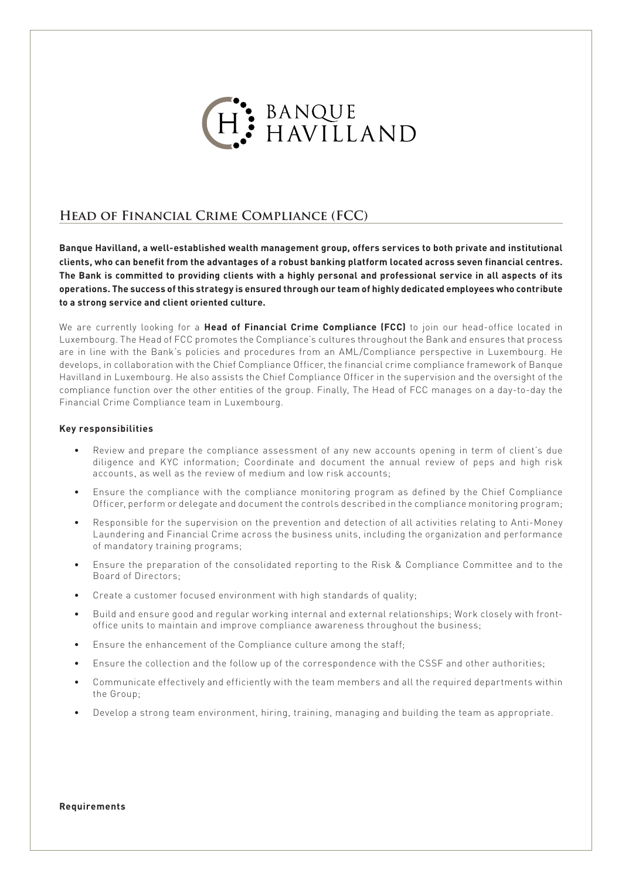

## **Head of Financial Crime Compliance (FCC)**

**Banque Havilland, a well-established wealth management group, offers services to both private and institutional clients, who can benefit from the advantages of a robust banking platform located across seven financial centres. The Bank is committed to providing clients with a highly personal and professional service in all aspects of its operations. The success of this strategy is ensured through our team of highly dedicated employees who contribute to a strong service and client oriented culture.**

We are currently looking for a **Head of Financial Crime Compliance (FCC)** to join our head-office located in Luxembourg. The Head of FCC promotes the Compliance's cultures throughout the Bank and ensures that process are in line with the Bank's policies and procedures from an AML/Compliance perspective in Luxembourg. He develops, in collaboration with the Chief Compliance Officer, the financial crime compliance framework of Banque Havilland in Luxembourg. He also assists the Chief Compliance Officer in the supervision and the oversight of the compliance function over the other entities of the group. Finally, The Head of FCC manages on a day-to-day the Financial Crime Compliance team in Luxembourg.

## **Key responsibilities**

- Review and prepare the compliance assessment of any new accounts opening in term of client's due diligence and KYC information; Coordinate and document the annual review of peps and high risk accounts, as well as the review of medium and low risk accounts;
- Ensure the compliance with the compliance monitoring program as defined by the Chief Compliance Officer, perform or delegate and document the controls described in the compliance monitoring program;
- Responsible for the supervision on the prevention and detection of all activities relating to Anti-Money Laundering and Financial Crime across the business units, including the organization and performance of mandatory training programs;
- Ensure the preparation of the consolidated reporting to the Risk & Compliance Committee and to the Board of Directors;
- Create a customer focused environment with high standards of quality;
- Build and ensure good and regular working internal and external relationships; Work closely with frontoffice units to maintain and improve compliance awareness throughout the business;
- Ensure the enhancement of the Compliance culture among the staff;
- Ensure the collection and the follow up of the correspondence with the CSSF and other authorities;
- Communicate effectively and efficiently with the team members and all the required departments within the Group;
- Develop a strong team environment, hiring, training, managing and building the team as appropriate.

**Requirements**